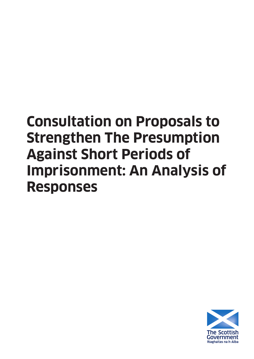# **Consultation on Proposals to Strengthen The Presumption Against Short Periods of Imprisonment: An Analysis of Responses**

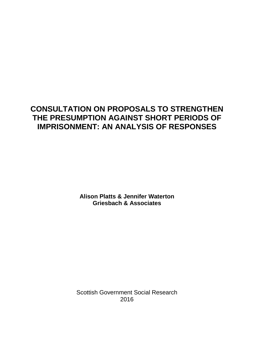## **CONSULTATION ON PROPOSALS TO STRENGTHEN THE PRESUMPTION AGAINST SHORT PERIODS OF IMPRISONMENT: AN ANALYSIS OF RESPONSES**

**Alison Platts & Jennifer Waterton Griesbach & Associates**

Scottish Government Social Research 2016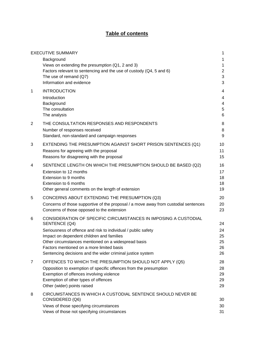#### **Table of contents**

|             | <b>EXECUTIVE SUMMARY</b>                                                                                                                                                                                                                                                                                                                                         | 1                                             |
|-------------|------------------------------------------------------------------------------------------------------------------------------------------------------------------------------------------------------------------------------------------------------------------------------------------------------------------------------------------------------------------|-----------------------------------------------|
|             | Background<br>Views on extending the presumption (Q1, 2 and 3)<br>Factors relevant to sentencing and the use of custody (Q4, 5 and 6)<br>The use of remand (Q7)<br>Information and evidence                                                                                                                                                                      | 1<br>$\mathbf{1}$<br>$\overline{2}$<br>3<br>3 |
| $\mathbf 1$ | <b>INTRODUCTION</b><br>Introduction<br>Background<br>The consultation<br>The analysis                                                                                                                                                                                                                                                                            | 4<br>$\overline{4}$<br>4<br>5<br>6            |
| 2           | THE CONSULTATION RESPONSES AND RESPONDENTS<br>Number of responses received<br>Standard, non-standard and campaign responses                                                                                                                                                                                                                                      | 8<br>8<br>9                                   |
| 3           | EXTENDING THE PRESUMPTION AGAINST SHORT PRISON SENTENCES (Q1)<br>Reasons for agreeing with the proposal<br>Reasons for disagreeing with the proposal                                                                                                                                                                                                             | 10<br>11<br>15                                |
| 4           | SENTENCE LENGTH ON WHICH THE PRESUMPTION SHOULD BE BASED (Q2)<br>Extension to 12 months<br>Extension to 9 months<br>Extension to 6 months<br>Other general comments on the length of extension                                                                                                                                                                   | 16<br>17<br>18<br>18<br>19                    |
| 5           | CONCERNS ABOUT EXTENDING THE PRESUMPTION (Q3)<br>Concerns of those supportive of the proposal / a move away from custodial sentences<br>Concerns of those opposed to the extension                                                                                                                                                                               | 20<br>20<br>23                                |
| 6           | CONSIDERATION OF SPECIFIC CIRCUMSTANCES IN IMPOSING A CUSTODIAL<br>SENTENCE (Q4)<br>Seriousness of offence and risk to individual / public safety<br>Impact on dependent children and families<br>Other circumstances mentioned on a widespread basis<br>Factors mentioned on a more limited basis<br>Sentencing decisions and the wider criminal justice system | 24<br>24<br>25<br>25<br>26<br>26              |
| 7           | OFFENCES TO WHICH THE PRESUMPTION SHOULD NOT APPLY (Q5)<br>Opposition to exemption of specific offences from the presumption<br>Exemption of offences involving violence<br>Exemption of other types of offences<br>Other (wider) points raised                                                                                                                  | 28<br>28<br>29<br>29<br>29                    |
| 8           | CIRCUMSTANCES IN WHICH A CUSTODIAL SENTENCE SHOULD NEVER BE<br>CONSIDERED (Q6)<br>Views of those specifying circumstances<br>Views of those not specifying circumstances                                                                                                                                                                                         | 30<br>30<br>31                                |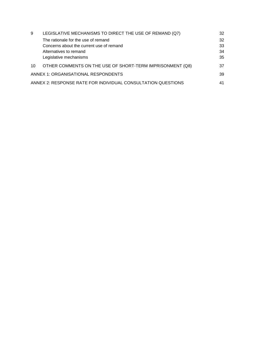| 9  | LEGISLATIVE MECHANISMS TO DIRECT THE USE OF REMAND (Q7)      | 32 |
|----|--------------------------------------------------------------|----|
|    | The rationale for the use of remand                          | 32 |
|    | Concerns about the current use of remand                     | 33 |
|    | Alternatives to remand                                       | 34 |
|    | Legislative mechanisms                                       | 35 |
| 10 | OTHER COMMENTS ON THE USE OF SHORT-TERM IMPRISONMENT (Q8)    | 37 |
|    | ANNEX 1: ORGANISATIONAL RESPONDENTS                          | 39 |
|    | ANNEX 2: RESPONSE RATE FOR INDIVIDUAL CONSULTATION QUESTIONS | 41 |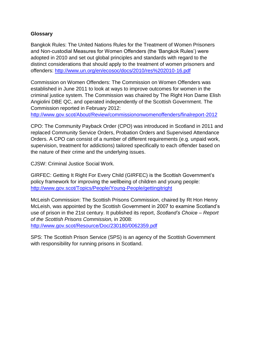#### **Glossary**

Bangkok Rules: The United Nations Rules for the Treatment of Women Prisoners and Non-custodial Measures for Women Offenders (the 'Bangkok Rules') were adopted in 2010 and set out global principles and standards with regard to the distinct considerations that should apply to the treatment of women prisoners and offenders: <http://www.un.org/en/ecosoc/docs/2010/res%202010-16.pdf>

Commission on Women Offenders: The Commission on Women Offenders was established in June 2011 to look at ways to improve outcomes for women in the criminal justice system. The Commission was chaired by The Right Hon Dame Elish Angiolini DBE QC, and operated independently of the Scottish Government. The Commission reported in February 2012:

http://www.gov.scot/About/Review/commissiononwomenoffenders/finalreport-2012

CPO: The Community Payback Order (CPO) was introduced in Scotland in 2011 and replaced Community Service Orders, Probation Orders and Supervised Attendance Orders. A CPO can consist of a number of different requirements (e.g. unpaid work, supervision, treatment for addictions) tailored specifically to each offender based on the nature of their crime and the underlying issues.

CJSW: Criminal Justice Social Work.

GIRFEC: Getting It Right For Every Child (GIRFEC) is the Scottish Government's policy framework for improving the wellbeing of children and young people: <http://www.gov.scot/Topics/People/Young-People/gettingitright>

McLeish Commission: The Scottish Prisons Commission, chaired by Rt Hon Henry McLeish, was appointed by the Scottish Government in 2007 to examine Scotland's use of prison in the 21st century. It published its report, *Scotland's Choice – Report of the Scottish Prisons Commission,* in 2008: <http://www.gov.scot/Resource/Doc/230180/0062359.pdf>

SPS: The Scottish Prison Service (SPS) is an agency of the Scottish Government with responsibility for running prisons in Scotland.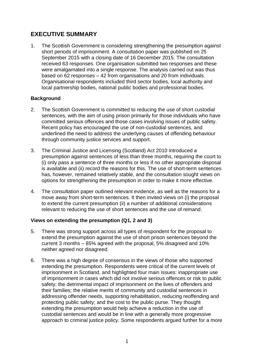## <span id="page-5-0"></span>**EXECUTIVE SUMMARY**

1. The Scottish Government is considering strengthening the presumption against short periods of imprisonment. A consultation paper was published on 25 September 2015 with a closing date of 16 December 2015. The consultation received 63 responses. One organisation submitted two responses and these were amalgamated into a single response. The analysis carried out was thus based on 62 responses – 42 from organisations and 20 from individuals. Organisational respondents included third sector bodies, local authority and local partnership bodies, national public bodies and professional bodies.

#### <span id="page-5-1"></span>**Background**

- 2. The Scottish Government is committed to reducing the use of short custodial sentences, with the aim of using prison primarily for those individuals who have committed serious offences and those cases involving issues of public safety. Recent policy has encouraged the use of non-custodial sentences, and underlined the need to address the underlying causes of offending behaviour through community justice services and support.
- 3. The Criminal Justice and Licensing (Scotland) Act 2010 introduced a presumption against sentences of less than three months, requiring the court to (i) only pass a sentence of three months or less if no other appropriate disposal is available and (ii) record the reasons for this. The use of short-term sentences has, however, remained relatively stable, and the consultation sought views on options for strengthening the presumption in order to make it more effective.
- 4. The consultation paper outlined relevant evidence, as well as the reasons for a move away from short-term sentences. It then invited views on (i) the proposal to extend the current presumption (ii) a number of additional considerations relevant to reducing the use of short sentences and the use of remand.

#### <span id="page-5-2"></span>**Views on extending the presumption (Q1, 2 and 3)**

- 5. There was strong support across all types of respondent for the proposal to extend the presumption against the use of short prison sentences beyond the current 3 months – 85% agreed with the proposal, 5% disagreed and 10% neither agreed nor disagreed.
- 6. There was a high degree of consensus in the views of those who supported extending the presumption. Respondents were critical of the current levels of imprisonment in Scotland, and highlighted four main issues: inappropriate use of imprisonment in cases which did not involve serious offences or risk to public safety; the detrimental impact of imprisonment on the lives of offenders and their families; the relative merits of community and custodial sentences in addressing offender needs, supporting rehabilitation, reducing reoffending and protecting public safety; and the cost to the public purse. They thought extending the presumption would help achieve a reduction in the use of custodial sentences and would be in line with a generally more progressive approach to criminal justice policy. Some respondents argued further for a more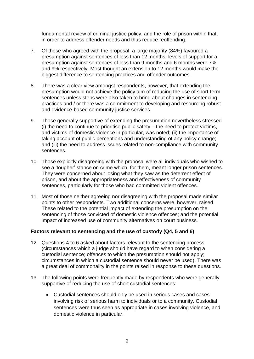fundamental review of criminal justice policy, and the role of prison within that, in order to address offender needs and thus reduce reoffending.

- 7. Of those who agreed with the proposal, a large majority (84%) favoured a presumption against sentences of less than 12 months; levels of support for a presumption against sentences of less than 9 months and 6 months were 7% and 9% respectively. Most thought an extension to 12 months would make the biggest difference to sentencing practices and offender outcomes.
- 8. There was a clear view amongst respondents, however, that extending the presumption would not achieve the policy aim of reducing the use of short-term sentences unless steps were also taken to bring about changes in sentencing practices and / or there was a commitment to developing and resourcing robust and evidence-based community justice services.
- 9. Those generally supportive of extending the presumption nevertheless stressed (i) the need to continue to prioritise public safety – the need to protect victims, and victims of domestic violence in particular, was noted; (ii) the importance of taking account of public perceptions and understanding of any policy change; and (iii) the need to address issues related to non-compliance with community sentences.
- 10. Those explicitly disagreeing with the proposal were all individuals who wished to see a 'tougher' stance on crime which, for them, meant longer prison sentences. They were concerned about losing what they saw as the deterrent effect of prison, and about the appropriateness and effectiveness of community sentences, particularly for those who had committed violent offences.
- 11. Most of those neither agreeing nor disagreeing with the proposal made similar points to other respondents. Two additional concerns were, however, raised. These related to the potential impact of extending the presumption on the sentencing of those convicted of domestic violence offences; and the potential impact of increased use of community alternatives on court business.

#### <span id="page-6-0"></span>**Factors relevant to sentencing and the use of custody (Q4, 5 and 6)**

- 12. Questions 4 to 6 asked about factors relevant to the sentencing process (circumstances which a judge should have regard to when considering a custodial sentence; offences to which the presumption should not apply; circumstances in which a custodial sentence should never be used). There was a great deal of commonality in the points raised in response to these questions.
- 13. The following points were frequently made by respondents who were generally supportive of reducing the use of short custodial sentences:
	- Custodial sentences should only be used in serious cases and cases involving risk of serious harm to individuals or to a community. Custodial sentences were thus seen as appropriate in cases involving violence, and domestic violence in particular.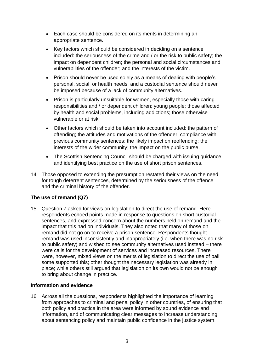- Each case should be considered on its merits in determining an appropriate sentence.
- Key factors which should be considered in deciding on a sentence included: the seriousness of the crime and / or the risk to public safety; the impact on dependent children; the personal and social circumstances and vulnerabilities of the offender; and the interests of the victim.
- Prison should never be used solely as a means of dealing with people's personal, social, or health needs, and a custodial sentence should never be imposed because of a lack of community alternatives.
- Prison is particularly unsuitable for women, especially those with caring responsibilities and / or dependent children; young people; those affected by health and social problems, including addictions; those otherwise vulnerable or at risk.
- Other factors which should be taken into account included: the pattern of offending; the attitudes and motivations of the offender; compliance with previous community sentences; the likely impact on reoffending; the interests of the wider community; the impact on the public purse.
- The Scottish Sentencing Council should be charged with issuing quidance and identifying best practice on the use of short prison sentences.
- 14. Those opposed to extending the presumption restated their views on the need for tough deterrent sentences, determined by the seriousness of the offence and the criminal history of the offender.

#### <span id="page-7-0"></span>**The use of remand (Q7)**

15. Question 7 asked for views on legislation to direct the use of remand. Here respondents echoed points made in response to questions on short custodial sentences, and expressed concern about the numbers held on remand and the impact that this had on individuals. They also noted that many of those on remand did not go on to receive a prison sentence. Respondents thought remand was used inconsistently and inappropriately (i.e. when there was no risk to public safety) and wished to see community alternatives used instead – there were calls for the development of services and increased resources. There were, however, mixed views on the merits of legislation to direct the use of bail: some supported this; other thought the necessary legislation was already in place; while others still argued that legislation on its own would not be enough to bring about change in practice.

#### <span id="page-7-1"></span>**Information and evidence**

16. Across all the questions, respondents highlighted the importance of learning from approaches to criminal and penal policy in other countries, of ensuring that both policy and practice in the area were informed by sound evidence and information, and of communicating clear messages to increase understanding about sentencing policy and maintain public confidence in the justice system.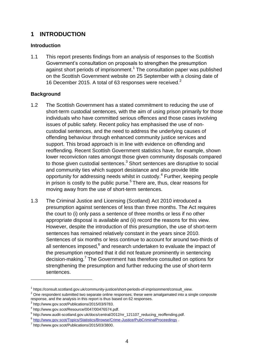## <span id="page-8-0"></span>**1 INTRODUCTION**

#### <span id="page-8-1"></span>**Introduction**

1.1 This report presents findings from an analysis of responses to the Scottish Government's consultation on proposals to strengthen the presumption against short periods of imprisonment.<sup>1</sup> The consultation paper was published on the Scottish Government website on 25 September with a closing date of 16 December 2015. A total of 63 responses were received.<sup>2</sup>

#### <span id="page-8-2"></span>**Background**

- 1.2 The Scottish Government has a stated commitment to reducing the use of short-term custodial sentences, with the aim of using prison primarily for those individuals who have committed serious offences and those cases involving issues of public safety. Recent policy has emphasised the use of noncustodial sentences, and the need to address the underlying causes of offending behaviour through enhanced community justice services and support. This broad approach is in line with evidence on offending and reoffending. Recent Scottish Government statistics have, for example, shown lower reconviction rates amongst those given community disposals compared to those given custodial sentences. $3$  Short sentences are disruptive to social and community ties which support desistance and also provide little opportunity for addressing needs whilst in custody.<sup>4</sup> Further, keeping people in prison is costly to the public purse.<sup>5</sup> There are, thus, clear reasons for moving away from the use of short-term sentences.
- 1.3 The Criminal Justice and Licensing (Scotland) Act 2010 introduced a presumption against sentences of less than three months. The Act requires the court to (i) only pass a sentence of three months or less if no other appropriate disposal is available and (ii) record the reasons for this view. However, despite the introduction of this presumption, the use of short-term sentences has remained relatively constant in the years since 2010. Sentences of six months or less continue to account for around two-thirds of all sentences imposed,<sup>6</sup> and research undertaken to evaluate the impact of the presumption reported that it did not feature prominently in sentencing decision-making.<sup>7</sup> The Government has therefore consulted on options for strengthening the presumption and further reducing the use of short-term sentences.

<u>.</u>

<sup>&</sup>lt;sup>1</sup> https://consult.scotland.gov.uk/community-justice/short-periods-of-imprisonment/consult\_view.

 $2$  One respondent submitted two separate online responses; these were amalgamated into a single composite response, and the analysis in this report is thus based on 62 responses.

 $3$  http://www.gov.scot/Publications/2015/03/9783.

<sup>4</sup> http://www.gov.scot/Resource/0047/00476574.pdf.

<sup>&</sup>lt;sup>5</sup> http://www.audit-scotland.gov.uk/docs/central/2012/nr\_121107\_reducing\_reoffending.pdf.

<sup>&</sup>lt;sup>6</sup> <http://www.gov.scot/Topics/Statistics/Browse/Crime-Justice/PubCriminalProceedings> .

<sup>7</sup> http://www.gov.scot/Publications/2015/03/3800.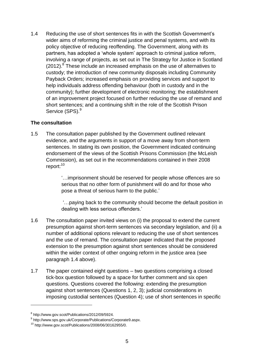1.4 Reducing the use of short sentences fits in with the Scottish Government's wider aims of reforming the criminal justice and penal systems, and with its policy objective of reducing reoffending. The Government, along with its partners, has adopted a 'whole system' approach to criminal justice reform, involving a range of projects, as set out in The Strategy for Justice in Scotland  $(2012).<sup>8</sup>$  These include an increased emphasis on the use of alternatives to custody; the introduction of new community disposals including Community Payback Orders; increased emphasis on providing services and support to help individuals address offending behaviour (both in custody and in the community); further development of electronic monitoring; the establishment of an improvement project focused on further reducing the use of remand and short sentences; and a continuing shift in the role of the Scottish Prison Service (SPS).<sup>9</sup>

#### <span id="page-9-0"></span>**The consultation**

1.5 The consultation paper published by the Government outlined relevant evidence, and the arguments in support of a move away from short-term sentences. In stating its own position, the Government indicated continuing endorsement of the views of the Scottish Prisons Commission (the McLeish Commission), as set out in the recommendations contained in their 2008 report:<sup>10</sup>

> '…imprisonment should be reserved for people whose offences are so serious that no other form of punishment will do and for those who pose a threat of serious harm to the public.'

'…paying back to the community should become the default position in dealing with less serious offenders.'

- 1.6 The consultation paper invited views on (i) the proposal to extend the current presumption against short-term sentences via secondary legislation, and (ii) a number of additional options relevant to reducing the use of short sentences and the use of remand. The consultation paper indicated that the proposed extension to the presumption against short sentences should be considered within the wider context of other ongoing reform in the justice area (see paragraph 1.4 above).
- 1.7 The paper contained eight questions two questions comprising a closed tick-box question followed by a space for further comment and six open questions. Questions covered the following: extending the presumption against short sentences (Questions 1, 2, 3); judicial considerations in imposing custodial sentences (Question 4); use of short sentences in specific

<u>.</u>

<sup>8</sup> http://www.gov.scot/Publications/2012/09/5924.

<sup>9</sup> http://www.sps.gov.uk/Corporate/Publications/Corporate9.aspx.

<sup>10</sup> http://www.gov.scot/Publications/2008/06/30162955/0.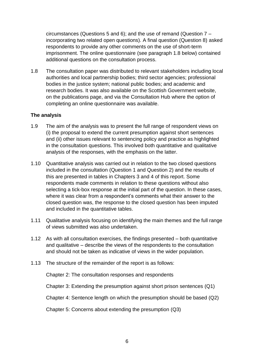circumstances (Questions 5 and 6); and the use of remand (Question 7 – incorporating two related open questions). A final question (Question 8) asked respondents to provide any other comments on the use of short-term imprisonment. The online questionnaire (see paragraph 1.8 below) contained additional questions on the consultation process.

1.8 The consultation paper was distributed to relevant stakeholders including local authorities and local partnership bodies; third sector agencies; professional bodies in the justice system; national public bodies; and academic and research bodies. It was also available on the Scottish Government website, on the publications page, and via the Consultation Hub where the option of completing an online questionnaire was available.

#### <span id="page-10-0"></span>**The analysis**

- 1.9 The aim of the analysis was to present the full range of respondent views on (i) the proposal to extend the current presumption against short sentences and (ii) other issues relevant to sentencing policy and practice as highlighted in the consultation questions. This involved both quantitative and qualitative analysis of the responses, with the emphasis on the latter.
- 1.10 Quantitative analysis was carried out in relation to the two closed questions included in the consultation (Question 1 and Question 2) and the results of this are presented in tables in Chapters 3 and 4 of this report. Some respondents made comments in relation to these questions without also selecting a tick-box response at the initial part of the question. In these cases, where it was clear from a respondent's comments what their answer to the closed question was, the response to the closed question has been imputed and included in the quantitative tables.
- 1.11 Qualitative analysis focusing on identifying the main themes and the full range of views submitted was also undertaken.
- 1.12 As with all consultation exercises, the findings presented both quantitative and qualitative – describe the views of the respondents to the consultation and should not be taken as indicative of views in the wider population.
- 1.13 The structure of the remainder of the report is as follows:

Chapter 2: The consultation responses and respondents

Chapter 3: Extending the presumption against short prison sentences (Q1)

Chapter 4: Sentence length on which the presumption should be based (Q2)

Chapter 5: Concerns about extending the presumption (Q3)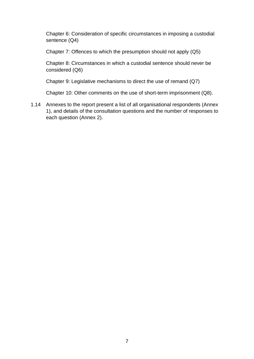Chapter 6: Consideration of specific circumstances in imposing a custodial sentence (Q4)

Chapter 7: Offences to which the presumption should not apply (Q5)

Chapter 8: Circumstances in which a custodial sentence should never be considered (Q6)

Chapter 9: Legislative mechanisms to direct the use of remand (Q7)

Chapter 10: Other comments on the use of short-term imprisonment (Q8).

1.14 Annexes to the report present a list of all organisational respondents (Annex 1), and details of the consultation questions and the number of responses to each question (Annex 2).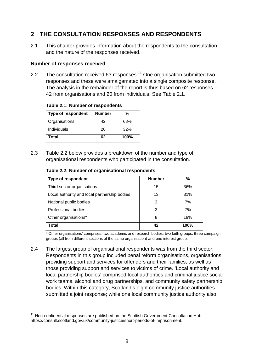## <span id="page-12-0"></span>**2 THE CONSULTATION RESPONSES AND RESPONDENTS**

2.1 This chapter provides information about the respondents to the consultation and the nature of the responses received.

#### <span id="page-12-1"></span>**Number of responses received**

1

2.2 The consultation received 63 responses.<sup>11</sup> One organisation submitted two responses and these were amalgamated into a single composite response. The analysis in the remainder of the report is thus based on 62 responses – 42 from organisations and 20 from individuals. See Table 2.1.

**Table 2.1: Number of respondents**

| <b>Type of respondent</b> | <b>Number</b> | %    |
|---------------------------|---------------|------|
| Organisations             | 42            | 68%  |
| Individuals               | 20            | 32%  |
| Total                     | 62            | 100% |

2.3 Table 2.2 below provides a breakdown of the number and type of organisational respondents who participated in the consultation.

**Table 2.2: Number of organisational respondents**

| Type of respondent                           | <b>Number</b> | %    |
|----------------------------------------------|---------------|------|
| Third sector organisations                   | 15            | 36%  |
| Local authority and local partnership bodies | 13            | 31%  |
| National public bodies                       | 3             | 7%   |
| Professional bodies                          | 3             | 7%   |
| Other organisations*                         | 8             | 19%  |
| Total                                        | 42            | 100% |

\*'Other organisations' comprises: two academic and research bodies, two faith groups, three campaign groups (all from different sections of the same organisation) and one interest group.

2.4 The largest group of organisational respondents was from the third sector. Respondents in this group included penal reform organisations, organisations providing support and services for offenders and their families, as well as those providing support and services to victims of crime. 'Local authority and local partnership bodies' comprised local authorities and criminal justice social work teams, alcohol and drug partnerships, and community safety partnership bodies. Within this category, Scotland's eight community justice authorities submitted a joint response; while one local community justice authority also

 $11$  Non-confidential responses are published on the Scottish Government Consultation Hub: https://consult.scotland.gov.uk/community-justice/short-periods-of-imprisonment.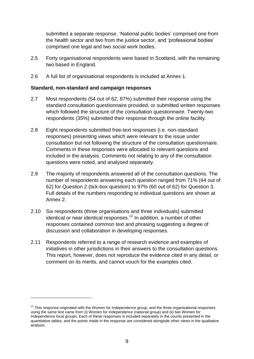submitted a separate response. 'National public bodies' comprised one from the health sector and two from the justice sector, and 'professional bodies' comprised one legal and two social work bodies.

- 2.5 Forty organisational respondents were based in Scotland, with the remaining two based in England.
- 2.6 A full list of organisational respondents is included at Annex 1.

#### <span id="page-13-0"></span>**Standard, non-standard and campaign responses**

- 2.7 Most respondents (54 out of 62; 87%) submitted their response using the standard consultation questionnaire provided, or submitted written responses which followed the structure of the consultation questionnaire. Twenty-two respondents (35%) submitted their response through the online facility.
- 2.8 Eight respondents submitted free-text responses (i.e. non-standard responses) presenting views which were relevant to the issue under consultation but not following the structure of the consultation questionnaire. Comments in these responses were allocated to relevant questions and included in the analysis. Comments not relating to any of the consultation questions were noted, and analysed separately.
- 2.9 The majority of respondents answered all of the consultation questions. The number of respondents answering each question ranged from 71% (44 out of 62) for Question 2 (tick-box question) to 97% (60 out of 62) for Question 3. Full details of the numbers responding to individual questions are shown at Annex 2.
- 2.10 Six respondents (three organisations and three individuals) submitted identical or near identical responses.<sup>12</sup> In addition, a number of other responses contained common text and phrasing suggesting a degree of discussion and collaboration in developing responses.
- 2.11 Respondents referred to a range of research evidence and examples of initiatives in other jurisdictions in their answers to the consultation questions. This report, however, does not reproduce the evidence cited in any detail, or comment on its merits, and cannot vouch for the examples cited.

1

 $12$  This response originated with the Women for Independence group, and the three organisational responses using the same text came from (i) Women for Independence (national group) and (ii) two Women for Independence local groups. Each of these responses is included separately in the counts presented in the quantitative tables, and the points made in the response are considered alongside other views in the qualitative analysis.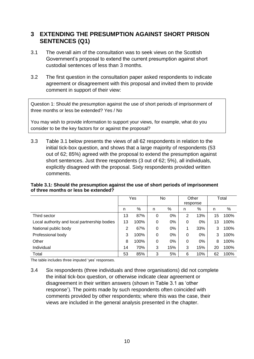### <span id="page-14-0"></span>**3 EXTENDING THE PRESUMPTION AGAINST SHORT PRISON SENTENCES (Q1)**

- 3.1 The overall aim of the consultation was to seek views on the Scottish Government's proposal to extend the current presumption against short custodial sentences of less than 3 months.
- 3.2 The first question in the consultation paper asked respondents to indicate agreement or disagreement with this proposal and invited them to provide comment in support of their view:

Question 1: Should the presumption against the use of short periods of imprisonment of three months or less be extended? Yes / No

You may wish to provide information to support your views, for example, what do you consider to be the key factors for or against the proposal?

3.3 Table 3.1 below presents the views of all 62 respondents in relation to the initial tick-box question, and shows that a large majority of respondents (53 out of 62; 85%) agreed with the proposal to extend the presumption against short sentences. Just three respondents (3 out of 62; 5%), all individuals, explicitly disagreed with the proposal. Sixty respondents provided written comments.

#### **Table 3.1: Should the presumption against the use of short periods of imprisonment of three months or less be extended?**

|                                              | Yes |      | No |     | Other<br>response |      | Total |      |
|----------------------------------------------|-----|------|----|-----|-------------------|------|-------|------|
|                                              | n   | %    | n  | %   | n                 | $\%$ | n     | %    |
| Third sector                                 | 13  | 87%  | 0  | 0%  | 2                 | 13%  | 15    | 100% |
| Local authority and local partnership bodies | 13  | 100% | 0  | 0%  | 0                 | 0%   | 13    | 100% |
| National public body                         | 2   | 67%  | 0  | 0%  |                   | 33%  | 3     | 100% |
| Professional body                            | 3   | 100% | 0  | 0%  | 0                 | 0%   | 3     | 100% |
| Other                                        | 8   | 100% | 0  | 0%  | 0                 | 0%   | 8     | 100% |
| Individual                                   | 14  | 70%  | 3  | 15% | 3                 | 15%  | 20    | 100% |
| Total                                        | 53  | 85%  | 3  | 5%  | 6                 | 10%  | 62    | 100% |

The table includes three imputed 'yes' responses.

3.4 Six respondents (three individuals and three organisations) did not complete the initial tick-box question, or otherwise indicate clear agreement or disagreement in their written answers (shown in Table 3.1 as 'other response'). The points made by such respondents often coincided with comments provided by other respondents; where this was the case, their views are included in the general analysis presented in the chapter.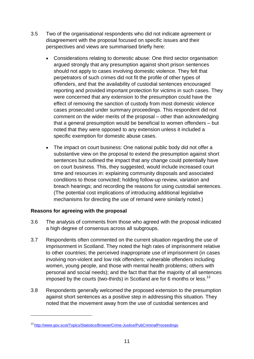- 3.5 Two of the organisational respondents who did not indicate agreement or disagreement with the proposal focused on specific issues and their perspectives and views are summarised briefly here:
	- Considerations relating to domestic abuse: One third sector organisation argued strongly that any presumption against short prison sentences should not apply to cases involving domestic violence. They felt that perpetrators of such crimes did not fit the profile of other types of offenders, and that the availability of custodial sentences encouraged reporting and provided important protection for victims in such cases. They were concerned that any extension to the presumption could have the effect of removing the sanction of custody from most domestic violence cases prosecuted under summary proceedings. This respondent did not comment on the wider merits of the proposal – other than acknowledging that a general presumption would be beneficial to women offenders – but noted that they were opposed to any extension unless it included a specific exemption for domestic abuse cases.
	- The impact on court business: One national public body did not offer a substantive view on the proposal to extend the presumption against short sentences but outlined the impact that any change could potentially have on court business. This, they suggested, would include increased court time and resources in: explaining community disposals and associated conditions to those convicted; holding follow-up review, variation and breach hearings; and recording the reasons for using custodial sentences. (The potential cost implications of introducing additional legislative mechanisms for directing the use of remand were similarly noted.)

#### <span id="page-15-0"></span>**Reasons for agreeing with the proposal**

<u>.</u>

- 3.6 The analysis of comments from those who agreed with the proposal indicated a high degree of consensus across all subgroups.
- 3.7 Respondents often commented on the current situation regarding the use of imprisonment in Scotland. They noted the high rates of imprisonment relative to other countries; the perceived inappropriate use of imprisonment (in cases involving non-violent and low risk offenders; vulnerable offenders including women, young people, and those with mental health problems; others with personal and social needs); and the fact that that the majority of all sentences imposed by the courts (two-thirds) in Scotland are for 6 months or less.<sup>13</sup>
- 3.8 Respondents generally welcomed the proposed extension to the presumption against short sentences as a positive step in addressing this situation. They noted that the movement away from the use of custodial sentences and

<sup>13</sup> [http://www.gov.scot/Topics/Statistics/Browse/Crime-Justice/PubCriminalProceedings.](http://www.gov.scot/Topics/Statistics/Browse/Crime-Justice/PubCriminalProceedings)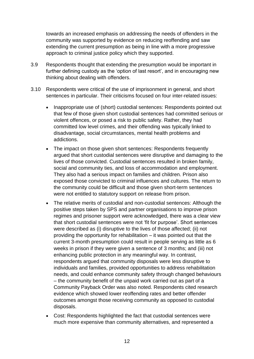towards an increased emphasis on addressing the needs of offenders in the community was supported by evidence on reducing reoffending and saw extending the current presumption as being in line with a more progressive approach to criminal justice policy which they supported.

- 3.9 Respondents thought that extending the presumption would be important in further defining custody as the 'option of last resort', and in encouraging new thinking about dealing with offenders.
- 3.10 Respondents were critical of the use of imprisonment in general, and short sentences in particular. Their criticisms focused on four inter-related issues:
	- Inappropriate use of (short) custodial sentences: Respondents pointed out that few of those given short custodial sentences had committed serious or violent offences, or posed a risk to public safety. Rather, they had committed low level crimes, and their offending was typically linked to disadvantage, social circumstances, mental health problems and addictions.
	- The impact on those given short sentences: Respondents frequently argued that short custodial sentences were disruptive and damaging to the lives of those convicted. Custodial sentences resulted in broken family, social and community ties, and loss of accommodation and employment. They also had a serious impact on families and children. Prison also exposed those convicted to criminal influences and cultures. The return to the community could be difficult and those given short-term sentences were not entitled to statutory support on release from prison.
	- The relative merits of custodial and non-custodial sentences: Although the positive steps taken by SPS and partner organisations to improve prison regimes and prisoner support were acknowledged, there was a clear view that short custodial sentences were not 'fit for purpose'. Short sentences were described as (i) disruptive to the lives of those affected; (ii) not providing the opportunity for rehabilitation – it was pointed out that the current 3-month presumption could result in people serving as little as 6 weeks in prison if they were given a sentence of 3 months; and (iii) not enhancing public protection in any meaningful way. In contrast, respondents argued that community disposals were less disruptive to individuals and families, provided opportunities to address rehabilitation needs, and could enhance community safety through changed behaviours – the community benefit of the unpaid work carried out as part of a Community Payback Order was also noted. Respondents cited research evidence which showed lower reoffending rates and better offender outcomes amongst those receiving community as opposed to custodial disposals.
	- Cost: Respondents highlighted the fact that custodial sentences were much more expensive than community alternatives, and represented a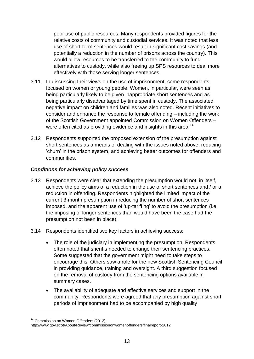poor use of public resources. Many respondents provided figures for the relative costs of community and custodial services. It was noted that less use of short-term sentences would result in significant cost savings (and potentially a reduction in the number of prisons across the country). This would allow resources to be transferred to the community to fund alternatives to custody, while also freeing up SPS resources to deal more effectively with those serving longer sentences.

- 3.11 In discussing their views on the use of imprisonment, some respondents focused on women or young people. Women, in particular, were seen as being particularly likely to be given inappropriate short sentences and as being particularly disadvantaged by time spent in custody. The associated negative impact on children and families was also noted. Recent initiatives to consider and enhance the response to female offending – including the work of the Scottish Government appointed Commission on Women Offenders – were often cited as providing evidence and insights in this area.<sup>14</sup>
- 3.12 Respondents supported the proposed extension of the presumption against short sentences as a means of dealing with the issues noted above, reducing 'churn' in the prison system, and achieving better outcomes for offenders and communities.

#### *Conditions for achieving policy success*

- 3.13 Respondents were clear that extending the presumption would not, in itself, achieve the policy aims of a reduction in the use of short sentences and / or a reduction in offending. Respondents highlighted the limited impact of the current 3-month presumption in reducing the number of short sentences imposed, and the apparent use of 'up-tariffing' to avoid the presumption (i.e. the imposing of longer sentences than would have been the case had the presumption not been in place).
- 3.14 Respondents identified two key factors in achieving success:
	- The role of the judiciary in implementing the presumption: Respondents often noted that sheriffs needed to change their sentencing practices. Some suggested that the government might need to take steps to encourage this. Others saw a role for the new Scottish Sentencing Council in providing guidance, training and oversight. A third suggestion focused on the removal of custody from the sentencing options available in summary cases.
	- The availability of adequate and effective services and support in the community: Respondents were agreed that any presumption against short periods of imprisonment had to be accompanied by high quality

1

<sup>&</sup>lt;sup>14</sup> Commission on Women Offenders (2012):

http://www.gov.scot/About/Review/commissiononwomenoffenders/finalreport-2012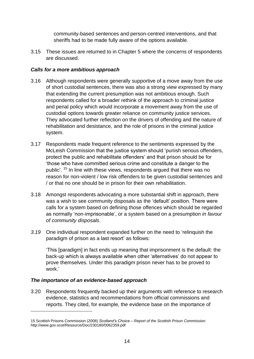community-based sentences and person-centred interventions, and that sheriffs had to be made fully aware of the options available.

3.15 These issues are returned to in Chapter 5 where the concerns of respondents are discussed.

#### *Calls for a more ambitious approach*

- 3.16 Although respondents were generally supportive of a move away from the use of short custodial sentences, there was also a strong view expressed by many that extending the current presumption was not ambitious enough. Such respondents called for a broader rethink of the approach to criminal justice and penal policy which would incorporate a movement away from the use of custodial options towards greater reliance on community justice services. They advocated further reflection on the drivers of offending and the nature of rehabilitation and desistance, and the role of prisons in the criminal justice system.
- 3.17 Respondents made frequent reference to the sentiments expressed by the McLeish Commission that the justice system should 'punish serious offenders, protect the public and rehabilitate offenders' and that prison should be for 'those who have committed serious crime and constitute a danger to the public'. <sup>15</sup> In line with these views, respondents argued that there was no reason for non-violent / low risk offenders to be given custodial sentences and / or that no one should be in prison for their own rehabilitation.
- 3.18 Amongst respondents advocating a more substantial shift in approach, there was a wish to see community disposals as the 'default' position. There were calls for a system based on defining those offences which should be regarded as normally 'non-imprisonable', or a system based on a presumption *in favour of community disposals*.
- *3.19* One individual respondent expanded further on the need to 'relinquish the paradigm of prison as a last resort' as follows:

'This [paradigm] in fact ends up meaning that imprisonment is the default: the back-up which is always available when other 'alternatives' do not appear to prove themselves. Under this paradigm prison never has to be proved to work.'

#### *The importance of an evidence-based approach*

1

3.20 Respondents frequently backed up their arguments with reference to research evidence, statistics and recommendations from official commissions and reports. They cited, for example, the evidence base on the importance of

<sup>15</sup> Scottish Prisons Commission (2008) *Scotland's Choice – Report of the Scottish Prison Commission*: http://www.gov.scot/Resource/Doc/230180/0062359.pdf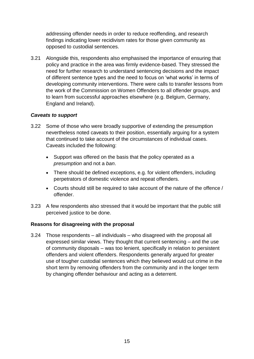addressing offender needs in order to reduce reoffending, and research findings indicating lower recidivism rates for those given community as opposed to custodial sentences.

3.21 Alongside this, respondents also emphasised the importance of ensuring that policy and practice in the area was firmly evidence-based. They stressed the need for further research to understand sentencing decisions and the impact of different sentence types and the need to focus on 'what works' in terms of developing community interventions. There were calls to transfer lessons from the work of the Commission on Women Offenders to all offender groups, and to learn from successful approaches elsewhere (e.g. Belgium, Germany, England and Ireland).

#### *Caveats to support*

- 3.22 Some of those who were broadly supportive of extending the presumption nevertheless noted caveats to their position, essentially arguing for a system that continued to take account of the circumstances of individual cases. Caveats included the following:
	- Support was offered on the basis that the policy operated as a *presumption* and not a *ban*.
	- There should be defined exceptions, e.g. for violent offenders, including perpetrators of domestic violence and repeat offenders.
	- Courts should still be required to take account of the nature of the offence / offender.
- 3.23 A few respondents also stressed that it would be important that the public still perceived justice to be done.

#### <span id="page-19-0"></span>**Reasons for disagreeing with the proposal**

3.24 Those respondents – all individuals – who disagreed with the proposal all expressed similar views. They thought that current sentencing – and the use of community disposals – was too lenient, specifically in relation to persistent offenders and violent offenders. Respondents generally argued for greater use of tougher custodial sentences which they believed would cut crime in the short term by removing offenders from the community and in the longer term by changing offender behaviour and acting as a deterrent.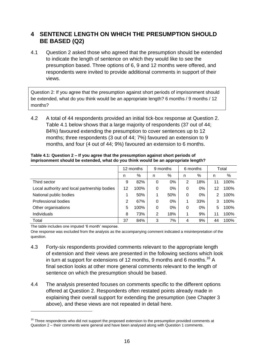## <span id="page-20-0"></span>**4 SENTENCE LENGTH ON WHICH THE PRESUMPTION SHOULD BE BASED (Q2)**

4.1 Question 2 asked those who agreed that the presumption should be extended to indicate the length of sentence on which they would like to see the presumption based. Three options of 6, 9 and 12 months were offered, and respondents were invited to provide additional comments in support of their views.

Question 2: If you agree that the presumption against short periods of imprisonment should be extended, what do you think would be an appropriate length? 6 months / 9 months / 12 months?

4.2 A total of 44 respondents provided an initial tick-box response at Question 2. Table 4.1 below shows that a large majority of respondents (37 out of 44; 84%) favoured extending the presumption to cover sentences up to 12 months; three respondents (3 out of 44; 7%) favoured an extension to 9 months, and four (4 out of 44; 9%) favoured an extension to 6 months.

|                                              | 12 months |      | 9 months |     | 6 months |     | Total |      |
|----------------------------------------------|-----------|------|----------|-----|----------|-----|-------|------|
|                                              | n         | %    | n        | %   | n        | %   | n     | %    |
| Third sector                                 | 9         | 82%  | $\Omega$ | 0%  | 2        | 18% | 11    | 100% |
| Local authority and local partnership bodies | 12        | 100% | 0        | 0%  | $\Omega$ | 0%  | 12    | 100% |
| National public bodies                       |           | 50%  |          | 50% | $\Omega$ | 0%  | 2     | 100% |
| Professional bodies                          | 2         | 67%  | $\Omega$ | 0%  |          | 33% | 3     | 100% |
| Other organisations                          | 5         | 100% | $\Omega$ | 0%  | $\Omega$ | 0%  | 5     | 100% |
| Individuals                                  | 8         | 73%  | 2        | 18% |          | 9%  | 11    | 100% |
| Total                                        | 37        | 84%  | 3        | 7%  | 4        | 9%  | 44    | 100% |

**Table 4.1: Question 2 – If you agree that the presumption against short periods of imprisonment should be extended, what do you think would be an appropriate length?**

The table includes one imputed '6 month' response.

1

One response was excluded from the analysis as the accompanying comment indicated a misinterpretation of the question.

- 4.3 Forty-six respondents provided comments relevant to the appropriate length of extension and their views are presented in the following sections which look in turn at support for extensions of 12 months, 9 months and 6 months.<sup>16</sup> A final section looks at other more general comments relevant to the length of sentence on which the presumption should be based.
- 4.4 The analysis presented focuses on comments specific to the different options offered at Question 2. Respondents often restated points already made in explaining their overall support for extending the presumption (see Chapter 3 above), and these views are not repeated in detail here.

<sup>&</sup>lt;sup>16</sup> Three respondents who did not support the proposed extension to the presumption provided comments at Question 2 – their comments were general and have been analysed along with Question 1 comments.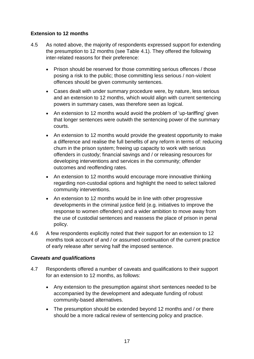#### <span id="page-21-0"></span>**Extension to 12 months**

- 4.5 As noted above, the majority of respondents expressed support for extending the presumption to 12 months (see Table 4.1). They offered the following inter-related reasons for their preference:
	- Prison should be reserved for those committing serious offences / those posing a risk to the public; those committing less serious / non-violent offences should be given community sentences.
	- Cases dealt with under summary procedure were, by nature, less serious and an extension to 12 months, which would align with current sentencing powers in summary cases, was therefore seen as logical.
	- An extension to 12 months would avoid the problem of 'up-tariffing' given that longer sentences were outwith the sentencing power of the summary courts.
	- An extension to 12 months would provide the greatest opportunity to make a difference and realise the full benefits of any reform in terms of: reducing churn in the prison system; freeing up capacity to work with serious offenders in custody; financial savings and / or releasing resources for developing interventions and services in the community; offender outcomes and reoffending rates.
	- An extension to 12 months would encourage more innovative thinking regarding non-custodial options and highlight the need to select tailored community interventions.
	- An extension to 12 months would be in line with other progressive developments in the criminal justice field (e.g. initiatives to improve the response to women offenders) and a wider ambition to move away from the use of custodial sentences and reassess the place of prison in penal policy.
- 4.6 A few respondents explicitly noted that their support for an extension to 12 months took account of and / or assumed continuation of the current practice of early release after serving half the imposed sentence.

#### *Caveats and qualifications*

- 4.7 Respondents offered a number of caveats and qualifications to their support for an extension to 12 months, as follows:
	- Any extension to the presumption against short sentences needed to be accompanied by the development and adequate funding of robust community-based alternatives.
	- The presumption should be extended beyond 12 months and / or there should be a more radical review of sentencing policy and practice.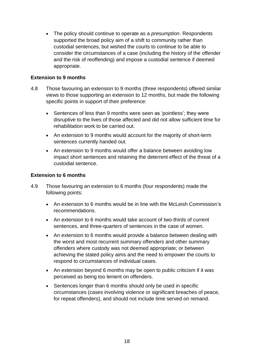The policy should continue to operate as a *presumption*. Respondents supported the broad policy aim of a shift to community rather than custodial sentences, but wished the courts to continue to be able to consider the circumstances of a case (including the history of the offender and the risk of reoffending) and impose a custodial sentence if deemed appropriate.

#### <span id="page-22-0"></span>**Extension to 9 months**

- 4.8 Those favouring an extension to 9 months (three respondents) offered similar views to those supporting an extension to 12 months, but made the following specific points in support of their preference:
	- Sentences of less than 9 months were seen as 'pointless'; they were disruptive to the lives of those affected and did not allow sufficient time for rehabilitation work to be carried out.
	- An extension to 9 months would account for the majority of short-term sentences currently handed out.
	- An extension to 9 months would offer a balance between avoiding low impact short sentences and retaining the deterrent effect of the threat of a custodial sentence.

#### <span id="page-22-1"></span>**Extension to 6 months**

- 4.9 Those favouring an extension to 6 months (four respondents) made the following points:
	- An extension to 6 months would be in line with the McLeish Commission's recommendations.
	- An extension to 6 months would take account of two-thirds of current sentences, and three-quarters of sentences in the case of women.
	- An extension to 6 months would provide a balance between dealing with the worst and most recurrent summary offenders and other summary offenders where custody was not deemed appropriate; or between achieving the stated policy aims and the need to empower the courts to respond to circumstances of individual cases.
	- An extension beyond 6 months may be open to public criticism if it was perceived as being too lenient on offenders.
	- Sentences longer than 6 months should only be used in specific circumstances (cases involving violence or significant breaches of peace, for repeat offenders), and should not include time served on remand.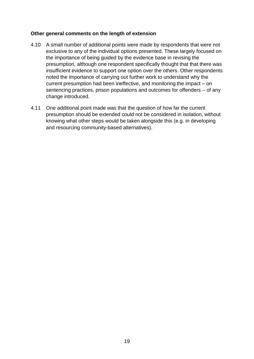#### <span id="page-23-0"></span>**Other general comments on the length of extension**

- 4.10 A small number of additional points were made by respondents that were not exclusive to any of the individual options presented. These largely focused on the importance of being guided by the evidence base in revising the presumption, although one respondent specifically thought that that there was insufficient evidence to support one option over the others. Other respondents noted the importance of carrying out further work to understand why the current presumption had been ineffective, and monitoring the impact – on sentencing practices, prison populations and outcomes for offenders – of any change introduced.
- 4.11 One additional point made was that the question of how far the current presumption should be extended could not be considered in isolation, without knowing what other steps would be taken alongside this (e.g. in developing and resourcing community-based alternatives).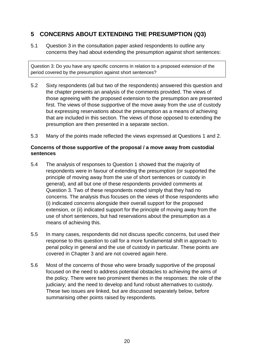## <span id="page-24-0"></span>**5 CONCERNS ABOUT EXTENDING THE PRESUMPTION (Q3)**

5.1 Question 3 in the consultation paper asked respondents to outline any concerns they had about extending the presumption against short sentences:

Question 3: Do you have any specific concerns in relation to a proposed extension of the period covered by the presumption against short sentences?

- 5.2 Sixty respondents (all but two of the respondents) answered this question and the chapter presents an analysis of the comments provided. The views of those agreeing with the proposed extension to the presumption are presented first. The views of those supportive of the move away from the use of custody but expressing reservations about the presumption as a means of achieving that are included in this section. The views of those opposed to extending the presumption are then presented in a separate section.
- 5.3 Many of the points made reflected the views expressed at Questions 1 and 2.

#### <span id="page-24-1"></span>**Concerns of those supportive of the proposal / a move away from custodial sentences**

- 5.4 The analysis of responses to Question 1 showed that the majority of respondents were in favour of extending the presumption (or supported the principle of moving away from the use of short sentences or custody in general), and all but one of these respondents provided comments at Question 3. Two of these respondents noted simply that they had no concerns. The analysis thus focuses on the views of those respondents who (i) indicated concerns alongside their overall support for the proposed extension, or (ii) indicated support for the principle of moving away from the use of short sentences, but had reservations about the presumption as a means of achieving this.
- 5.5 In many cases, respondents did not discuss specific concerns, but used their response to this question to call for a more fundamental shift in approach to penal policy in general and the use of custody in particular. These points are covered in Chapter 3 and are not covered again here.
- 5.6 Most of the concerns of those who were broadly supportive of the proposal focused on the need to address potential obstacles to achieving the aims of the policy. There were two prominent themes in the responses: the role of the judiciary; and the need to develop and fund robust alternatives to custody. These two issues are linked, but are discussed separately below, before summarising other points raised by respondents.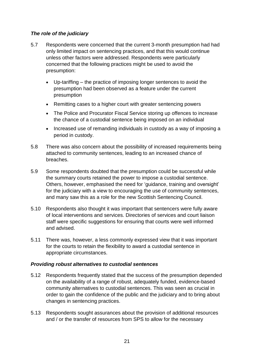#### *The role of the judiciary*

- 5.7 Respondents were concerned that the current 3-month presumption had had only limited impact on sentencing practices, and that this would continue unless other factors were addressed. Respondents were particularly concerned that the following practices might be used to avoid the presumption:
	- Up-tariffing the practice of imposing longer sentences to avoid the presumption had been observed as a feature under the current presumption
	- Remitting cases to a higher court with greater sentencing powers
	- The Police and Procurator Fiscal Service storing up offences to increase the chance of a custodial sentence being imposed on an individual
	- Increased use of remanding individuals in custody as a way of imposing a period in custody.
- 5.8 There was also concern about the possibility of increased requirements being attached to community sentences, leading to an increased chance of breaches.
- 5.9 Some respondents doubted that the presumption could be successful while the summary courts retained the power to impose a custodial sentence. Others, however, emphasised the need for 'guidance, training and oversight' for the judiciary with a view to encouraging the use of community sentences, and many saw this as a role for the new Scottish Sentencing Council.
- 5.10 Respondents also thought it was important that sentencers were fully aware of local interventions and services. Directories of services and court liaison staff were specific suggestions for ensuring that courts were well informed and advised.
- 5.11 There was, however, a less commonly expressed view that it was important for the courts to retain the flexibility to award a custodial sentence in appropriate circumstances.

#### *Providing robust alternatives to custodial sentences*

- 5.12 Respondents frequently stated that the success of the presumption depended on the availability of a range of robust, adequately funded, evidence-based community alternatives to custodial sentences. This was seen as crucial in order to gain the confidence of the public and the judiciary and to bring about changes in sentencing practices.
- 5.13 Respondents sought assurances about the provision of additional resources and / or the transfer of resources from SPS to allow for the necessary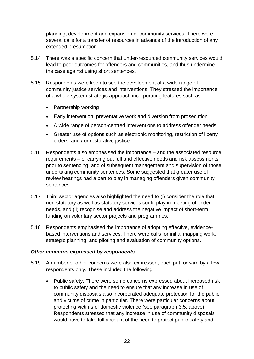planning, development and expansion of community services. There were several calls for a transfer of resources in advance of the introduction of any extended presumption.

- 5.14 There was a specific concern that under-resourced community services would lead to poor outcomes for offenders and communities, and thus undermine the case against using short sentences.
- 5.15 Respondents were keen to see the development of a wide range of community justice services and interventions. They stressed the importance of a whole system strategic approach incorporating features such as:
	- Partnership working
	- Early intervention, preventative work and diversion from prosecution
	- A wide range of person-centred interventions to address offender needs
	- Greater use of options such as electronic monitoring, restriction of liberty orders, and / or restorative justice.
- 5.16 Respondents also emphasised the importance and the associated resource requirements – of carrying out full and effective needs and risk assessments prior to sentencing, and of subsequent management and supervision of those undertaking community sentences. Some suggested that greater use of review hearings had a part to play in managing offenders given community sentences.
- 5.17 Third sector agencies also highlighted the need to (i) consider the role that non-statutory as well as statutory services could play in meeting offender needs, and (ii) recognise and address the negative impact of short-term funding on voluntary sector projects and programmes.
- 5.18 Respondents emphasised the importance of adopting effective, evidencebased interventions and services. There were calls for initial mapping work, strategic planning, and piloting and evaluation of community options.

#### *Other concerns expressed by respondents*

- 5.19 A number of other concerns were also expressed, each put forward by a few respondents only. These included the following:
	- Public safety: There were some concerns expressed about increased risk to public safety and the need to ensure that any increase in use of community disposals also incorporated adequate protection for the public, and victims of crime in particular. There were particular concerns about protecting victims of domestic violence (see paragraph 3.5. above). Respondents stressed that any increase in use of community disposals would have to take full account of the need to protect public safety and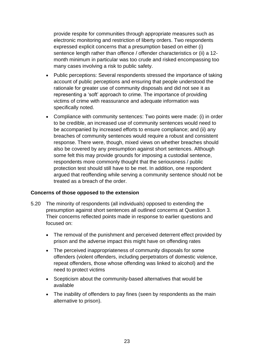provide respite for communities through appropriate measures such as electronic monitoring and restriction of liberty orders. Two respondents expressed explicit concerns that a presumption based on either (i) sentence length rather than offence / offender characteristics or (ii) a 12 month minimum in particular was too crude and risked encompassing too many cases involving a risk to public safety.

- Public perceptions: Several respondents stressed the importance of taking account of public perceptions and ensuring that people understood the rationale for greater use of community disposals and did not see it as representing a 'soft' approach to crime. The importance of providing victims of crime with reassurance and adequate information was specifically noted.
- Compliance with community sentences: Two points were made: (i) in order to be credible, an increased use of community sentences would need to be accompanied by increased efforts to ensure compliance; and (ii) any breaches of community sentences would require a robust and consistent response. There were, though, mixed views on whether breaches should also be covered by any presumption against short sentences. Although some felt this may provide grounds for imposing a custodial sentence, respondents more commonly thought that the seriousness / public protection test should still have to be met. In addition, one respondent argued that reoffending while serving a community sentence should not be treated as a breach of the order.

#### <span id="page-27-0"></span>**Concerns of those opposed to the extension**

- 5.20 The minority of respondents (all individuals) opposed to extending the presumption against short sentences all outlined concerns at Question 3. Their concerns reflected points made in response to earlier questions and focused on:
	- The removal of the punishment and perceived deterrent effect provided by prison and the adverse impact this might have on offending rates
	- The perceived inappropriateness of community disposals for some offenders (violent offenders, including perpetrators of domestic violence, repeat offenders, those whose offending was linked to alcohol) and the need to protect victims
	- Scepticism about the community-based alternatives that would be available
	- The inability of offenders to pay fines (seen by respondents as the main alternative to prison).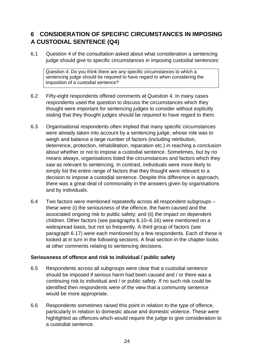## <span id="page-28-0"></span>**6 CONSIDERATION OF SPECIFIC CIRCUMSTANCES IN IMPOSING A CUSTODIAL SENTENCE (Q4)**

6.1 Question 4 of the consultation asked about what consideration a sentencing judge should give to specific circumstances in imposing custodial sentences:

Question 4: Do you think there are any specific circumstances to which a sentencing judge should be required to have regard to when considering the imposition of a custodial sentence?

- 6.2 Fifty-eight respondents offered comments at Question 4. In many cases respondents used the question to discuss the circumstances which they thought were important for sentencing judges to consider without explicitly stating that they thought judges should be *required* to have regard to them.
- 6.3 Organisational respondents often implied that many specific circumstances were already taken into account by a sentencing judge, whose role was to weigh and balance a large number of factors (including retribution, deterrence, protection, rehabilitation, reparation etc.) in reaching a conclusion about whether or not to impose a custodial sentence. Sometimes, but by no means always, organisations listed the circumstances and factors which they saw as relevant to sentencing. In contrast, individuals were more likely to simply list the entire range of factors that they thought were relevant to a decision to impose a custodial sentence. Despite this difference in approach, there was a great deal of commonality in the answers given by organisations and by individuals.
- 6.4 Two factors were mentioned repeatedly across all respondent subgroups these were (i) the seriousness of the offence, the harm caused and the associated ongoing risk to public safety; and (ii) the impact on dependent children. Other factors (see paragraphs 6.10–6.16) were mentioned on a widespread basis, but not so frequently. A third group of factors (see paragraph 6.17) were each mentioned by a few respondents. Each of these is looked at in turn in the following sections. A final section in the chapter looks at other comments relating to sentencing decisions.

#### <span id="page-28-1"></span>**Seriousness of offence and risk to individual / public safety**

- 6.5 Respondents across all subgroups were clear that a custodial sentence should be imposed if serious harm had been caused and / or there was a continuing risk to individual and / or public safety. If no such risk could be identified then respondents were of the view that a community sentence would be more appropriate.
- 6.6 Respondents sometimes raised this point in relation to the type of offence, particularly in relation to domestic abuse and domestic violence. These were highlighted as offences which would require the judge to give consideration to a custodial sentence.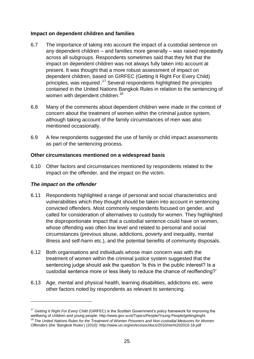#### <span id="page-29-0"></span>**Impact on dependent children and families**

- 6.7 The importance of taking into account the impact of a custodial sentence on any dependent children – and families more generally – was raised repeatedly across all subgroups. Respondents sometimes said that they felt that the impact on dependent children was not always fully taken into account at present. It was thought that a more robust assessment of impact on dependent children, based on GIRFEC (Getting It Right For Every Child) principles, was required.<sup>17</sup> Several respondents highlighted the principles contained in the United Nations Bangkok Rules in relation to the sentencing of women with dependent children.<sup>18</sup>
- 6.8 Many of the comments about dependent children were made in the context of concern about the treatment of women within the criminal justice system, although taking account of the family circumstances of men was also mentioned occasionally.
- 6.9 A few respondents suggested the use of family or child impact assessments as part of the sentencing process.

#### <span id="page-29-1"></span>**Other circumstances mentioned on a widespread basis**

6.10 Other factors and circumstances mentioned by respondents related to the impact on the offender, and the impact on the victim.

#### *The impact on the offender*

<u>.</u>

- 6.11 Respondents highlighted a range of personal and social characteristics and vulnerabilities which they thought should be taken into account in sentencing convicted offenders. Most commonly respondents focused on gender, and called for consideration of alternatives to custody for women. They highlighted the disproportionate impact that a custodial sentence could have on women, whose offending was often low level and related to personal and social circumstances (previous abuse, addictions, poverty and inequality, mental illness and self-harm etc.), and the potential benefits of community disposals.
- 6.12 Both organisations and individuals whose main concern was with the treatment of women within the criminal justice system suggested that the sentencing judge should ask the question 'Is this in the public interest? Is a custodial sentence more or less likely to reduce the chance of reoffending?'
- 6.13 Age, mental and physical health, learning disabilities, addictions etc. were other factors noted by respondents as relevant to sentencing.

<sup>&</sup>lt;sup>17</sup> Getting It Right For Every Child (GIRFEC) is the Scottish Government's policy framework for improving the wellbeing of children and young people: http://www.gov.scot/Topics/People/Young-People/gettingitright <sup>18</sup> *The United Nations Rules for the Treatment of Women Prisoners and Non-custodial Measures for Women Offenders* (the 'Bangkok Rules') (2010): <http://www.un.org/en/ecosoc/docs/2010/res%202010-16.pdf>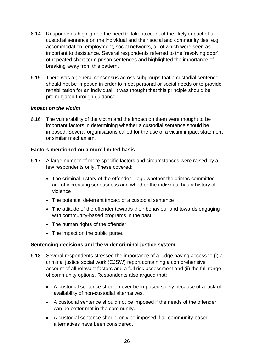- 6.14 Respondents highlighted the need to take account of the likely impact of a custodial sentence on the individual and their social and community ties, e.g. accommodation, employment, social networks, all of which were seen as important to desistance. Several respondents referred to the 'revolving door' of repeated short-term prison sentences and highlighted the importance of breaking away from this pattern.
- 6.15 There was a general consensus across subgroups that a custodial sentence should not be imposed in order to meet personal or social needs or to provide rehabilitation for an individual. It was thought that this principle should be promulgated through guidance.

#### *Impact on the victim*

6.16 The vulnerability of the victim and the impact on them were thought to be important factors in determining whether a custodial sentence should be imposed. Several organisations called for the use of a victim impact statement or similar mechanism.

#### <span id="page-30-0"></span>**Factors mentioned on a more limited basis**

- 6.17 A large number of more specific factors and circumstances were raised by a few respondents only. These covered:
	- The criminal history of the offender  $-$  e.g. whether the crimes committed are of increasing seriousness and whether the individual has a history of violence
	- The potential deterrent impact of a custodial sentence
	- The attitude of the offender towards their behaviour and towards engaging with community-based programs in the past
	- The human rights of the offender
	- The impact on the public purse.

#### <span id="page-30-1"></span>**Sentencing decisions and the wider criminal justice system**

- 6.18 Several respondents stressed the importance of a judge having access to (i) a criminal justice social work (CJSW) report containing a comprehensive account of all relevant factors and a full risk assessment and (ii) the full range of community options. Respondents also argued that:
	- A custodial sentence should never be imposed solely because of a lack of availability of non-custodial alternatives.
	- A custodial sentence should not be imposed if the needs of the offender can be better met in the community.
	- A custodial sentence should only be imposed if all community-based alternatives have been considered.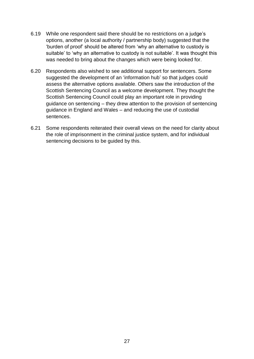- 6.19 While one respondent said there should be no restrictions on a judge's options, another (a local authority / partnership body) suggested that the 'burden of proof' should be altered from 'why an alternative to custody is suitable' to 'why an alternative to custody is not suitable'. It was thought this was needed to bring about the changes which were being looked for.
- 6.20 Respondents also wished to see additional support for sentencers. Some suggested the development of an 'information hub' so that judges could assess the alternative options available. Others saw the introduction of the Scottish Sentencing Council as a welcome development. They thought the Scottish Sentencing Council could play an important role in providing guidance on sentencing – they drew attention to the provision of sentencing guidance in England and Wales – and reducing the use of custodial sentences.
- 6.21 Some respondents reiterated their overall views on the need for clarity about the role of imprisonment in the criminal justice system, and for individual sentencing decisions to be guided by this.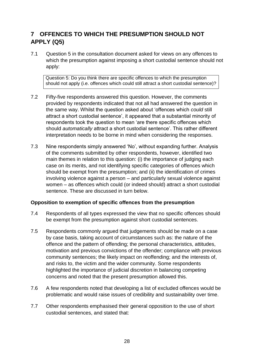## <span id="page-32-0"></span>**7 OFFENCES TO WHICH THE PRESUMPTION SHOULD NOT APPLY (Q5)**

7.1 Question 5 in the consultation document asked for views on any offences to which the presumption against imposing a short custodial sentence should not apply:

Question 5: Do you think there are specific offences to which the presumption should not apply (i.e. offences which could still attract a short custodial sentence)?

- 7.2 Fifty-five respondents answered this question. However, the comments provided by respondents indicated that not all had answered the question in the same way. Whilst the question asked about 'offences which *could* still attract a short custodial sentence', it appeared that a substantial minority of respondents took the question to mean 'are there specific offences which should *automatically* attract a short custodial sentence'. This rather different interpretation needs to be borne in mind when considering the responses.
- 7.3 Nine respondents simply answered 'No', without expanding further. Analysis of the comments submitted by other respondents, however, identified two main themes in relation to this question: (i) the importance of judging each case on its merits, and not identifying specific categories of offences which should be exempt from the presumption; and (ii) the identification of crimes involving violence against a person – and particularly sexual violence against women – as offences which could (or indeed should) attract a short custodial sentence. These are discussed in turn below.

#### <span id="page-32-1"></span>**Opposition to exemption of specific offences from the presumption**

- 7.4 Respondents of all types expressed the view that no specific offences should be exempt from the presumption against short custodial sentences.
- 7.5 Respondents commonly argued that judgements should be made on a case by case basis, taking account of circumstances such as: the nature of the offence and the pattern of offending; the personal characteristics, attitudes, motivation and previous convictions of the offender; compliance with previous community sentences; the likely impact on reoffending; and the interests of, and risks to, the victim and the wider community. Some respondents highlighted the importance of judicial discretion in balancing competing concerns and noted that the present presumption allowed this.
- 7.6 A few respondents noted that developing a list of excluded offences would be problematic and would raise issues of credibility and sustainability over time.
- 7.7 Other respondents emphasised their general opposition to the use of short custodial sentences, and stated that: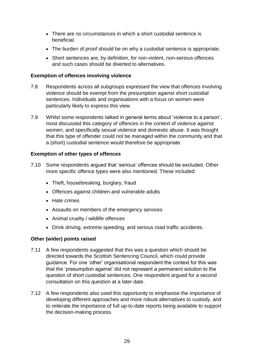- There are no circumstances in which a short custodial sentence is beneficial.
- The burden of proof should be on why a custodial sentence is appropriate.
- Short sentences are, by definition, for non-violent, non-serious offences and such cases should be diverted to alternatives.

#### <span id="page-33-0"></span>**Exemption of offences involving violence**

- 7.8 Respondents across all subgroups expressed the view that offences involving violence should be exempt from the presumption against short custodial sentences. Individuals and organisations with a focus on women were particularly likely to express this view.
- 7.9 Whilst some respondents talked in general terms about 'violence to a person', most discussed this category of offences in the context of violence against women, and specifically sexual violence and domestic abuse. It was thought that this type of offender could not be managed within the community and that a (short) custodial sentence would therefore be appropriate.

#### <span id="page-33-1"></span>**Exemption of other types of offences**

- 7.10 Some respondents argued that 'serious' offences should be excluded. Other more specific offence types were also mentioned. These included:
	- Theft, housebreaking, burglary, fraud
	- Offences against children and vulnerable adults
	- Hate crimes
	- Assaults on members of the emergency services
	- Animal cruelty / wildlife offences
	- Drink driving, extreme speeding, and serious road traffic accidents.

#### <span id="page-33-2"></span>**Other (wider) points raised**

- 7.11 A few respondents suggested that this was a question which should be directed towards the Scottish Sentencing Council, which could provide guidance. For one 'other' organisational respondent the context for this was that the 'presumption against' did not represent a permanent solution to the question of short custodial sentences. One respondent argued for a second consultation on this question at a later date.
- 7.12 A few respondents also used this opportunity to emphasise the importance of developing different approaches and more robust alternatives to custody, and to reiterate the importance of full up-to-date reports being available to support the decision-making process.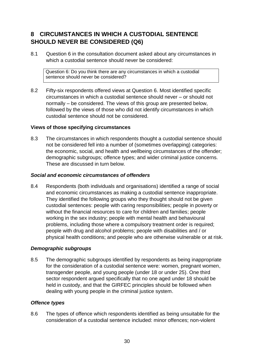## <span id="page-34-0"></span>**8 CIRCUMSTANCES IN WHICH A CUSTODIAL SENTENCE SHOULD NEVER BE CONSIDERED (Q6)**

8.1 Question 6 in the consultation document asked about any circumstances in which a custodial sentence should never be considered:

Question 6: Do you think there are any circumstances in which a custodial sentence should never be considered?

8.2 Fifty-six respondents offered views at Question 6. Most identified specific circumstances in which a custodial sentence should never – or should not normally – be considered. The views of this group are presented below, followed by the views of those who did not identify circumstances in which custodial sentence should not be considered.

#### <span id="page-34-1"></span>**Views of those specifying circumstances**

8.3 The circumstances in which respondents thought a custodial sentence should not be considered fell into a number of (sometimes overlapping) categories: the economic, social, and health and wellbeing circumstances of the offender; demographic subgroups; offence types; and wider criminal justice concerns. These are discussed in turn below.

#### *Social and economic circumstances of offenders*

8.4 Respondents (both individuals and organisations) identified a range of social and economic circumstances as making a custodial sentence inappropriate. They identified the following groups who they thought should not be given custodial sentences: people with caring responsibilities; people in poverty or without the financial resources to care for children and families; people working in the sex industry; people with mental health and behavioural problems, including those where a compulsory treatment order is required; people with drug and alcohol problems; people with disabilities and / or physical health conditions; and people who are otherwise vulnerable or at risk.

#### *Demographic subgroups*

8.5 The demographic subgroups identified by respondents as being inappropriate for the consideration of a custodial sentence were: women, pregnant women, transgender people, and young people (under 18 or under 25). One third sector respondent argued specifically that no one aged under 18 should be held in custody, and that the GIRFEC principles should be followed when dealing with young people in the criminal justice system.

#### *Offence types*

8.6 The types of offence which respondents identified as being unsuitable for the consideration of a custodial sentence included: minor offences; non-violent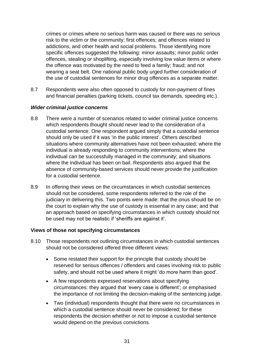crimes or crimes where no serious harm was caused or there was no serious risk to the victim or the community; first offences; and offences related to addictions, and other health and social problems. Those identifying more specific offences suggested the following: minor assaults; minor public order offences, stealing or shoplifting, especially involving low value items or where the offence was motivated by the need to feed a family; fraud; and not wearing a seat belt. One national public body urged further consideration of the use of custodial sentences for minor drug offences as a separate matter.

8.7 Respondents were also often opposed to custody for non-payment of fines and financial penalties (parking tickets, council tax demands, speeding etc.).

#### *Wider criminal justice concerns*

- 8.8 There were a number of scenarios related to wider criminal justice concerns which respondents thought should never lead to the consideration of a custodial sentence. One respondent argued simply that a custodial sentence should only be used if it was 'in the public interest'. Others described situations where community alternatives have not been exhausted; where the individual is already responding to community interventions; where the individual can be successfully managed in the community; and situations where the individual has been on bail. Respondents also argued that the absence of community-based services should never provide the justification for a custodial sentence.
- 8.9 In offering their views on the circumstances in which custodial sentences should not be considered, some respondents referred to the role of the judiciary in delivering this. Two points were made: that the onus should be on the court to explain why the use of custody is essential in any case; and that an approach based on specifying circumstances in which custody should not be used may not be realistic if 'sheriffs are against it'.

#### <span id="page-35-0"></span>**Views of those not specifying circumstances**

- 8.10 Those respondents not outlining circumstances in which custodial sentences should not be considered offered three different views:
	- Some restated their support for the principle that custody should be reserved for serious offences / offenders and cases involving risk to public safety, and should not be used where it might 'do more harm than good'.
	- A few respondents expressed reservations about specifying circumstances: they argued that 'every case is different'; or emphasised the importance of not limiting the decision-making of the sentencing judge.
	- Two (individual) respondents thought that there were no circumstances in which a custodial sentence should never be considered; for these respondents the decision whether or not to impose a custodial sentence would depend on the previous convictions.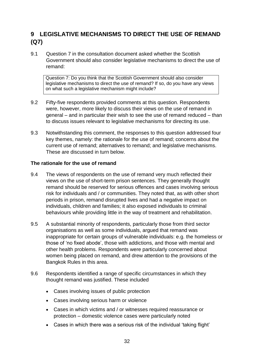## <span id="page-36-0"></span>**9 LEGISLATIVE MECHANISMS TO DIRECT THE USE OF REMAND (Q7)**

9.1 Question 7 in the consultation document asked whether the Scottish Government should also consider legislative mechanisms to direct the use of remand:

Question 7: Do you think that the Scottish Government should also consider legislative mechanisms to direct the use of remand? If so, do you have any views on what such a legislative mechanism might include?

- 9.2 Fifty-five respondents provided comments at this question. Respondents were, however, more likely to discuss their views on the use of remand in general – and in particular their wish to see the use of remand reduced – than to discuss issues relevant to legislative mechanisms for directing its use.
- 9.3 Notwithstanding this comment, the responses to this question addressed four key themes, namely: the rationale for the use of remand; concerns about the current use of remand; alternatives to remand; and legislative mechanisms. These are discussed in turn below.

#### <span id="page-36-1"></span>**The rationale for the use of remand**

- 9.4 The views of respondents on the use of remand very much reflected their views on the use of short-term prison sentences. They generally thought remand should be reserved for serious offences and cases involving serious risk for individuals and / or communities. They noted that, as with other short periods in prison, remand disrupted lives and had a negative impact on individuals, children and families; it also exposed individuals to criminal behaviours while providing little in the way of treatment and rehabilitation.
- 9.5 A substantial minority of respondents, particularly those from third sector organisations as well as some individuals, argued that remand was inappropriate for certain groups of vulnerable individuals: e.g. the homeless or those of 'no fixed abode', those with addictions, and those with mental and other health problems. Respondents were particularly concerned about women being placed on remand, and drew attention to the provisions of the Bangkok Rules in this area.
- 9.6 Respondents identified a range of specific circumstances in which they thought remand was justified. These included
	- Cases involving issues of public protection
	- Cases involving serious harm or violence
	- Cases in which victims and / or witnesses required reassurance or protection – domestic violence cases were particularly noted
	- Cases in which there was a serious risk of the individual 'taking flight'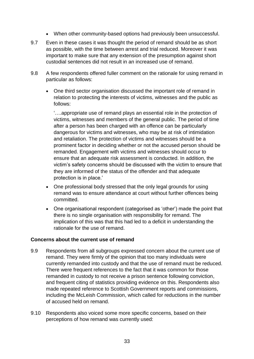- When other community-based options had previously been unsuccessful.
- 9.7 Even in these cases it was thought the period of remand should be as short as possible, with the time between arrest and trial reduced. Moreover it was important to make sure that any extension of the presumption against short custodial sentences did not result in an increased use of remand.
- 9.8 A few respondents offered fuller comment on the rationale for using remand in particular as follows:
	- One third sector organisation discussed the important role of remand in relation to protecting the interests of victims, witnesses and the public as follows:

'….appropriate use of remand plays an essential role in the protection of victims, witnesses and members of the general public. The period of time after a person has been charged with an offence can be particularly dangerous for victims and witnesses, who may be at risk of intimidation and retaliation. The protection of victims and witnesses should be a prominent factor in deciding whether or not the accused person should be remanded. Engagement with victims and witnesses should occur to ensure that an adequate risk assessment is conducted. In addition, the victim's safety concerns should be discussed with the victim to ensure that they are informed of the status of the offender and that adequate protection is in place.'

- One professional body stressed that the only legal grounds for using remand was to ensure attendance at court without further offences being committed.
- One organisational respondent (categorised as 'other') made the point that there is no single organisation with responsibility for remand. The implication of this was that this had led to a deficit in understanding the rationale for the use of remand.

#### <span id="page-37-0"></span>**Concerns about the current use of remand**

- 9.9 Respondents from all subgroups expressed concern about the current use of remand. They were firmly of the opinion that too many individuals were currently remanded into custody and that the use of remand must be reduced. There were frequent references to the fact that it was common for those remanded in custody to not receive a prison sentence following conviction, and frequent citing of statistics providing evidence on this. Respondents also made repeated reference to Scottish Government reports and commissions, including the McLeish Commission, which called for reductions in the number of accused held on remand.
- 9.10 Respondents also voiced some more specific concerns, based on their perceptions of how remand was currently used: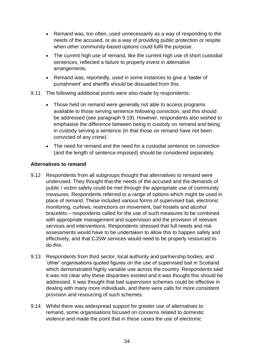- Remand was, too often, used unnecessarily as a way of responding to the needs of the accused, or as a way of providing public protection or respite when other community-based options could fulfil the purpose.
- The current high use of remand, like the current high use of short custodial sentences, reflected a failure to properly invest in alternative arrangements.
- Remand was, reportedly, used in some instances to give a 'taster of punishment' and sheriffs should be dissuaded from this.
- 9.11 The following additional points were also made by respondents:
	- Those held on remand were generally not able to access programs available to those serving sentence following conviction, and this should be addressed (see paragraph 9.19). However, respondents also wished to emphasise the difference between being in custody on remand and being in custody serving a sentence (in that those on remand have not been convicted of any crime).
	- The need for remand and the need for a custodial sentence on conviction (and the length of sentence imposed) should be considered separately.

#### <span id="page-38-0"></span>**Alternatives to remand**

- 9.12 Respondents from all subgroups thought that alternatives to remand were underused. They thought that the needs of the accused and the demands of public / victim safety could be met through the appropriate use of community measures. Respondents referred to a range of options which might be used in place of remand. These included various forms of supervised bail, electronic monitoring, curfews, restrictions on movement, bail hostels and alcohol bracelets – respondents called for the use of such measures to be combined with appropriate management and supervision and the provision of relevant services and interventions. Respondents stressed that full needs and risk assessments would have to be undertaken to allow this to happen safely and effectively, and that CJSW services would need to be properly resourced to do this.
- 9.13 Respondents from third sector, local authority and partnership bodies, and 'other' organisations quoted figures on the use of supervised bail in Scotland which demonstrated highly variable use across the country. Respondents said it was not clear why these disparities existed and it was thought this should be addressed. It was thought that bail supervision schemes could be effective in dealing with many more individuals, and there were calls for more consistent provision and resourcing of such schemes.
- 9.14 Whilst there was widespread support for greater use of alternatives to remand, some organisations focused on concerns related to domestic violence and made the point that in these cases the use of electronic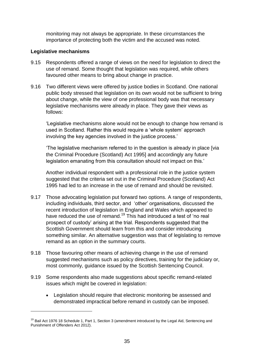monitoring may not always be appropriate. In these circumstances the importance of protecting both the victim and the accused was noted.

#### <span id="page-39-0"></span>**Legislative mechanisms**

1

- 9.15 Respondents offered a range of views on the need for legislation to direct the use of remand. Some thought that legislation was required, while others favoured other means to bring about change in practice.
- 9.16 Two different views were offered by justice bodies in Scotland. One national public body stressed that legislation on its own would not be sufficient to bring about change, while the view of one professional body was that necessary legislative mechanisms were already in place. They gave their views as follows:

'Legislative mechanisms alone would not be enough to change how remand is used in Scotland. Rather this would require a 'whole system' approach involving the key agencies involved in the justice process.'

'The legislative mechanism referred to in the question is already in place [via the Criminal Procedure (Scotland) Act 1995] and accordingly any future legislation emanating from this consultation should not impact on this.'

Another individual respondent with a professional role in the justice system suggested that the criteria set out in the Criminal Procedure (Scotland) Act 1995 had led to an increase in the use of remand and should be revisited.

- 9.17 Those advocating legislation put forward two options. A range of respondents, including individuals, third sector, and 'other' organisations, discussed the recent introduction of legislation in England and Wales which appeared to have reduced the use of remand.<sup>19</sup> This had introduced a test of 'no real prospect of custody' arising at the trial. Respondents suggested that the Scottish Government should learn from this and consider introducing something similar. An alternative suggestion was that of legislating to remove remand as an option in the summary courts.
- 9.18 Those favouring other means of achieving change in the use of remand suggested mechanisms such as policy directives, training for the judiciary or, most commonly, guidance issued by the Scottish Sentencing Council.
- 9.19 Some respondents also made suggestions about specific remand-related issues which might be covered in legislation:
	- Legislation should require that electronic monitoring be assessed and demonstrated impractical before remand in custody can be imposed.

 $19$  Bail Act 1976 18 Schedule 1, Part 1, Section 3 (amendment introduced by the Legal Aid, Sentencing and Punishment of Offenders Act 2012).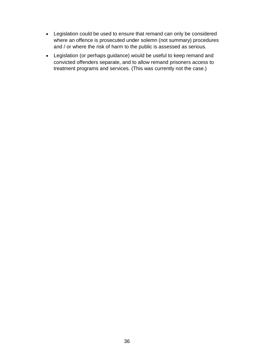- Legislation could be used to ensure that remand can only be considered where an offence is prosecuted under solemn (not summary) procedures and / or where the risk of harm to the public is assessed as serious.
- Legislation (or perhaps guidance) would be useful to keep remand and convicted offenders separate, and to allow remand prisoners access to treatment programs and services. (This was currently not the case.)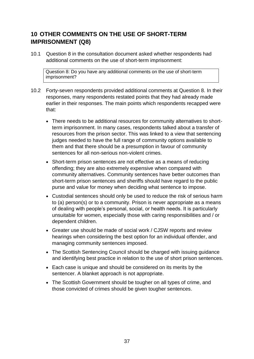## <span id="page-41-0"></span>**10 OTHER COMMENTS ON THE USE OF SHORT-TERM IMPRISONMENT (Q8)**

10.1 Question 8 in the consultation document asked whether respondents had additional comments on the use of short-term imprisonment:

Question 8: Do you have any additional comments on the use of short-term imprisonment?

- 10.2 Forty-seven respondents provided additional comments at Question 8. In their responses, many respondents restated points that they had already made earlier in their responses. The main points which respondents recapped were that:
	- There needs to be additional resources for community alternatives to shortterm imprisonment. In many cases, respondents talked about a transfer of resources from the prison sector. This was linked to a view that sentencing judges needed to have the full range of community options available to them and that there should be a presumption in favour of community sentences for all non-serious non-violent crimes.
	- Short-term prison sentences are not effective as a means of reducing offending; they are also extremely expensive when compared with community alternatives. Community sentences have better outcomes than short-term prison sentences and sheriffs should have regard to the public purse and value for money when deciding what sentence to impose.
	- Custodial sentences should only be used to reduce the risk of serious harm to (a) person(s) or to a community. Prison is never appropriate as a means of dealing with people's personal, social, or health needs. It is particularly unsuitable for women, especially those with caring responsibilities and / or dependent children.
	- Greater use should be made of social work / CJSW reports and review hearings when considering the best option for an individual offender, and managing community sentences imposed.
	- The Scottish Sentencing Council should be charged with issuing guidance and identifying best practice in relation to the use of short prison sentences.
	- Each case is unique and should be considered on its merits by the sentencer. A blanket approach is not appropriate.
	- The Scottish Government should be tougher on all types of crime, and those convicted of crimes should be given tougher sentences.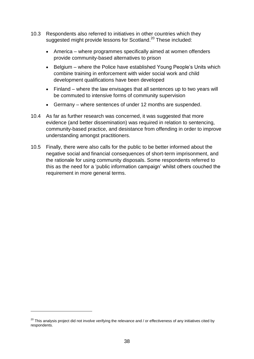- 10.3 Respondents also referred to initiatives in other countries which they suggested might provide lessons for Scotland.<sup>20</sup> These included:
	- America where programmes specifically aimed at women offenders provide community-based alternatives to prison
	- Belgium where the Police have established Young People's Units which combine training in enforcement with wider social work and child development qualifications have been developed
	- Finland where the law envisages that all sentences up to two years will be commuted to intensive forms of community supervision
	- Germany where sentences of under 12 months are suspended.
- 10.4 As far as further research was concerned, it was suggested that more evidence (and better dissemination) was required in relation to sentencing, community-based practice, and desistance from offending in order to improve understanding amongst practitioners.
- 10.5 Finally, there were also calls for the public to be better informed about the negative social and financial consequences of short-term imprisonment, and the rationale for using community disposals. Some respondents referred to this as the need for a 'public information campaign' whilst others couched the requirement in more general terms.

1

 $20$  This analysis project did not involve verifying the relevance and / or effectiveness of any initiatives cited by respondents.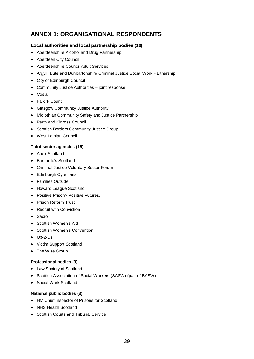## <span id="page-43-0"></span>**ANNEX 1: ORGANISATIONAL RESPONDENTS**

#### **Local authorities and local partnership bodies (13)**

- Aberdeenshire Alcohol and Drug Partnership
- Aberdeen City Council
- Aberdeenshire Council Adult Services
- Argyll, Bute and Dunbartonshire Criminal Justice Social Work Partnership
- City of Edinburgh Council
- Community Justice Authorities joint response
- Cosla
- **•** Falkirk Council
- **Glasgow Community Justice Authority**
- Midlothian Community Safety and Justice Partnership
- Perth and Kinross Council
- Scottish Borders Community Justice Group
- West Lothian Council

#### **Third sector agencies (15)**

- Apex Scotland
- Barnardo's Scotland
- Criminal Justice Voluntary Sector Forum
- Edinburgh Cyrenians
- Families Outside
- Howard League Scotland
- Positive Prison? Positive Futures...
- Prison Reform Trust
- Recruit with Conviction
- Sacro
- Scottish Women's Aid
- Scottish Women's Convention
- Up-2-Us
- Victim Support Scotland
- The Wise Group

#### **Professional bodies (3)**

- Law Society of Scotland
- Scottish Association of Social Workers (SASW) (part of BASW)
- Social Work Scotland

#### **National public bodies (3)**

- HM Chief Inspector of Prisons for Scotland
- NHS Health Scotland
- Scottish Courts and Tribunal Service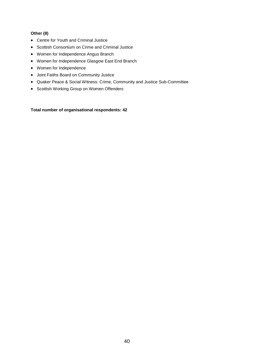#### **Other (8)**

- Centre for Youth and Criminal Justice
- Scottish Consortium on Crime and Criminal Justice
- Women for Independence Angus Branch
- Women for Independence Glasgow East End Branch
- Women for Independence
- Joint Faiths Board on Community Justice
- Quaker Peace & Social Witness: Crime, Community and Justice Sub-Committee
- Scottish Working Group on Women Offenders

**Total number of organisational respondents: 42**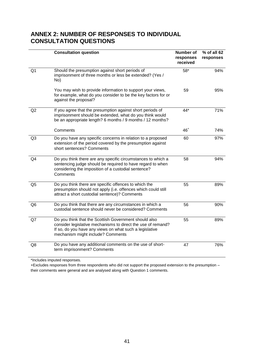## <span id="page-45-0"></span>**ANNEX 2: NUMBER OF RESPONSES TO INDIVIDUAL CONSULTATION QUESTIONS**

|                | <b>Consultation question</b>                                                                                                                                                                                          | <b>Number of</b><br>responses<br>received | % of all 62<br>responses |
|----------------|-----------------------------------------------------------------------------------------------------------------------------------------------------------------------------------------------------------------------|-------------------------------------------|--------------------------|
| Q <sub>1</sub> | Should the presumption against short periods of<br>imprisonment of three months or less be extended? (Yes /<br>No)                                                                                                    | $58*$                                     | 94%                      |
|                | You may wish to provide information to support your views,<br>for example, what do you consider to be the key factors for or<br>against the proposal?                                                                 | 59                                        | 95%                      |
| Q2             | If you agree that the presumption against short periods of<br>imprisonment should be extended, what do you think would<br>be an appropriate length? 6 months / 9 months / 12 months?                                  | 44*                                       | 71%                      |
|                | Comments                                                                                                                                                                                                              | $46+$                                     | 74%                      |
| Q <sub>3</sub> | Do you have any specific concerns in relation to a proposed<br>extension of the period covered by the presumption against<br>short sentences? Comments                                                                | 60                                        | 97%                      |
| Q4             | Do you think there are any specific circumstances to which a<br>sentencing judge should be required to have regard to when<br>considering the imposition of a custodial sentence?<br>Comments                         | 58                                        | 94%                      |
| Q <sub>5</sub> | Do you think there are specific offences to which the<br>presumption should not apply (i.e. offences which could still<br>attract a short custodial sentence)? Comments                                               | 55                                        | 89%                      |
| Q <sub>6</sub> | Do you think that there are any circumstances in which a<br>custodial sentence should never be considered? Comments                                                                                                   | 56                                        | 90%                      |
| Q7             | Do you think that the Scottish Government should also<br>consider legislative mechanisms to direct the use of remand?<br>If so, do you have any views on what such a legislative<br>mechanism might include? Comments | 55                                        | 89%                      |
| Q8             | Do you have any additional comments on the use of short-<br>term imprisonment? Comments                                                                                                                               | 47                                        | 76%                      |

\*Includes imputed responses.

+Excludes responses from three respondents who did not support the proposed extension to the presumption – their comments were general and are analysed along with Question 1 comments.